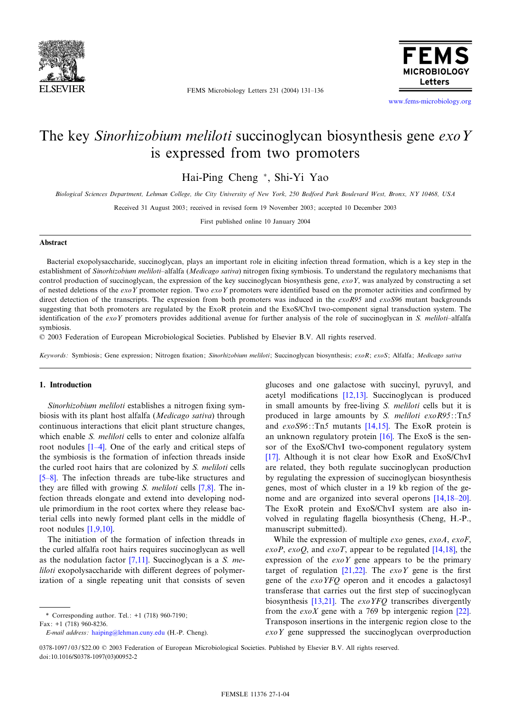

FEMS Microbiology Letters 231 (2004) 131^136



www.fems-microbiology.org

# The key Sinorhizobium meliloti succinoglycan biosynthesis gene exo Y is expressed from two promoters

Hai-Ping Cheng \*, Shi-Yi Yao

Biological Sciences Department, Lehman College, the City University of New York, 250 Bedford Park Boulevard West, Bronx, NY 10468, USA

Received 31 August 2003; received in revised form 19 November 2003; accepted 10 December 2003

First published online 10 January 2004

#### Abstract

Bacterial exopolysaccharide, succinoglycan, plays an important role in eliciting infection thread formation, which is a key step in the establishment of Sinorhizobium meliloti-alfalfa (Medicago sativa) nitrogen fixing symbiosis. To understand the regulatory mechanisms that control production of succinoglycan, the expression of the key succinoglycan biosynthesis gene,  $e\alpha oY$ , was analyzed by constructing a set of nested deletions of the exoY promoter region. Two exoY promoters were identified based on the promoter activities and confirmed by direct detection of the transcripts. The expression from both promoters was induced in the  $exoR95$  and  $exoS96$  mutant backgrounds suggesting that both promoters are regulated by the ExoR protein and the ExoS/ChvI two-component signal transduction system. The identification of the exoY promoters provides additional avenue for further analysis of the role of succinoglycan in S. meliloti-alfalfa symbiosis.

6 2003 Federation of European Microbiological Societies. Published by Elsevier B.V. All rights reserved.

Keywords: Symbiosis; Gene expression; Nitrogen fixation; Sinorhizobium meliloti; Succinoglycan biosynthesis; exoR; exoS; Alfalfa; Medicago sativa

## 1. Introduction

Sinorhizobium meliloti establishes a nitrogen fixing symbiosis with its plant host alfalfa (Medicago sativa) through continuous interactions that elicit plant structure changes, which enable *[S. m](#page-5-0)eliloti* cells to enter and colonize alfalfa root nodules  $[1-4]$ . One of the early and critical steps of the symbiosis is the formation of infection threads inside [the c](#page-5-0)urled root hairs that are colonized by S. meliloti cells [5-8]. The infection threads are tube-like s[truct](#page-5-0)ures and they are filled with growing S. meliloti cells  $[7,8]$ . The infection threads elongate and extend into developing nodule primordium in the root cortex where they release bacterial cells in[to newly](#page-5-0) formed plant cells in the middle of root nodules [1,9,10].

The initiation of the formation of infection threads in the curled alfalfa root ha[irs req](#page-5-0)uires succinoglycan as well as the nodulation factor  $[7,11]$ . Succinoglycan is a S. me*liloti* exopolysaccharide with different degrees of polymerization of a single repeating unit that consists of seven glucoses and one ga[lactose](#page-5-0) with succinyl, pyruvyl, and acetyl modifications  $[12,13]$ . Succinoglycan is produced in small amounts by free-living S. meliloti cells but it is produced in large amount[s by](#page-5-0) S. meliloti exoR95::Tn5 and  $exoS96$ ::Tn5 mutants [14,[15\].](#page-5-0) The ExoR protein is an unknown regulatory protein [16]. The ExoS is the sen[sor](#page-5-0) of the ExoS/ChvI two-component regulatory system [17]. Although it is not clear how ExoR and ExoS/ChvI are related, they both regulate succinoglycan production by regulating the expression of succinoglycan biosynthesis genes, most of which cluster in a 19 kb region [of the ge](#page-5-0)nome and are organized into several operons [14,18-20]. The ExoR protein and ExoS/ChvI system are also involved in regulating flagella biosynthesis (Cheng, H.-P., manuscript submitted).

While the expression of multiple  $exo$  genes,  $exoA$  $exoA$ ,  $exoF$ , exoP, exoQ, and exoT, appear to be regulated  $[14,18]$ , the expression of the  $e \times oY$  [gen](#page-5-0)e appears to be the primary target of regulation [21,22]. The  $exoY$  gene is the first gene of the exoYFQ operon and it encodes a galactosyl transferase t[hat carr](#page-5-0)ies out the first step of succinoglycan biosynthesis  $[13,21]$ . The *exoYFQ* transcribes diverg[ently](#page-5-0) from the  $exoX$  gene with a 769 bp intergenic region [22]. Transposon insertions in the intergenic region close to the exoY gene suppressed the succinoglycan overproduction

<sup>\*</sup> Corresponding author. Tel.: +1 (718) 960-7190;

Fax: +1 (718) 960[-8236.](mailto:haiping@lehman.cuny.edu)

E-mail address: haiping@lehman.cuny.edu (H.-P. Cheng).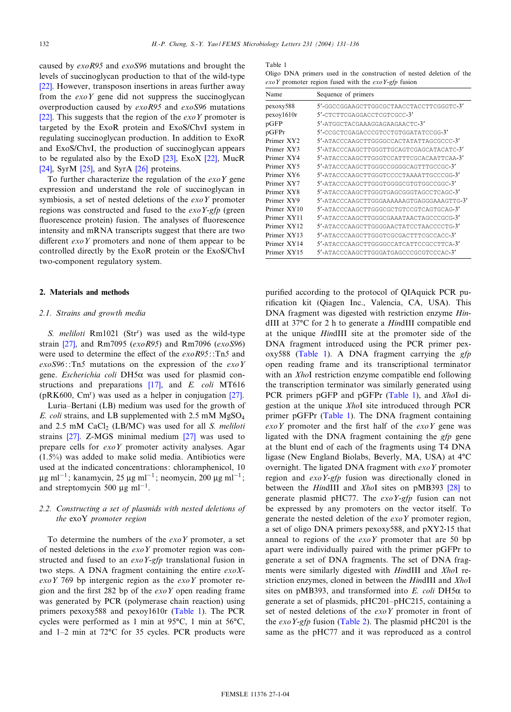<span id="page-1-0"></span>caused by exoR95 and exoS96 mutations and brought the [leve](#page-5-0)ls of succinoglycan production to that of the wild-type [22]. However, transposon insertions in areas further away from the  $exoY$  gene did not suppress the succinoglycan [over](#page-5-0)production caused by exoR95 and exoS96 mutations [22]. This suggests that the region of the  $exoY$  promoter is targeted by the ExoR protein and ExoS/ChvI system in regulating succinoglycan production. In addition to ExoR and ExoS/ChvI, the production o[f suc](#page-5-0)cinogly[can](#page-5-0) appears [to b](#page-5-0)e regul[ated](#page-5-0) also by th[e Ex](#page-5-0)oD  $[23]$ , ExoX  $[22]$ , MucR [24], SyrM [25], and SyrA [26] proteins.

To further characterize the regulation of the  $exoY$  gene expression and understand the role of succinoglycan in symbiosis, a set of nested deletions of the  $exoY$  promoter regions was constructed and fused to the  $exoY-gfp$  (green fluorescence protein) fusion. The analyses of fluorescence intensity and mRNA transcripts suggest that there are two different  $\exp Y$  promoters and none of them appear to be controlled directly by the ExoR protein or the ExoS/ChvI two-component regulatory system.

### 2. Materials and methods

## 2.1. Strains and growth media

S. [melil](#page-5-0)oti Rm1021 (Str<sup>r</sup>) was used as the wild-type strain [27], and Rm7095 (exoR95) and Rm7096 (exoS96) were used to determine the effect of the  $exoR95$ : :Tn5 and  $exoS96$ : :Tn5 mutations on the expression of the  $exoY$ gene. Escherichia coli DH5 $\alpha$  [was](#page-5-0) used for plasmid constructions and preparations [17], and E. coli M[T616](#page-5-0) (pRK600, Cm<sup>r</sup>) was used as a helper in conjugation [27]. Luria^Bertani (LB) medium was used for the growth of E. coli strains, and LB supplemented with 2.5 mM MgSO4 and  $2.5$  [mM](#page-5-0) CaCl<sub>2</sub> (LB/MC) was used [for](#page-5-0) all S. meliloti strains [27]. Z-MGS minimal medium [27] was used to prepare cells for *exoY* promoter activity analyses. Agar (1.5%) was added to make solid media. Antibiotics were used at the indicated concentrations: chloramphenicol, 10  $\mu$ g ml<sup>-1</sup>; kanamycin, 25  $\mu$ g ml<sup>-1</sup>; neomycin, 200  $\mu$ g ml<sup>-1</sup>; and streptomycin 500  $\mu$ g ml<sup>-1</sup>.

# 2.2. Constructing a set of plasmids with nested deletions of the exoY promoter region

To determine the numbers of the  $exoY$  promoter, a set of nested deletions in the  $exoY$  promoter region was constructed and fused to an  $exoY-gfp$  translational fusion in two steps. A DNA fragment containing the entire  $exoX$  $exoY$  769 bp intergenic region as the  $exoY$  promoter region and the first 282 bp of the  $exoY$  open reading frame was generated by PCR (polymerase chain reaction) using primers pexoxy588 and pexoy1610r (Table 1). The PCR cycles were performed as 1 min at  $95^{\circ}$ C, 1 min at  $56^{\circ}$ C, and  $1-2$  min at  $72^{\circ}$ C for 35 cycles. PCR products were Table 1

Oligo DNA primers used in the construction of nested deletion of the  $exoY$  promoter region fused with the  $exoY-gfp$  fusion

| Name                   | Sequence of primers                       |
|------------------------|-------------------------------------------|
| pexoxy588              | 5'-GGCCGGAAGCTTGGCGCTAACCTACCTTCGGGTC-3'  |
| pexov1610r             | 5'-CTCTTCGAGGACCTCGTCGCC-3'               |
| pGFP                   | 5'-ATGGCTACGAAAGGAGAAGAACTC-3'            |
| pGFPr                  | 5'-CCGCTCGAGACCCGTCCTGTGGATATCCGG-3'      |
| Primer XY <sub>2</sub> | 5'-ATACCCAAGCTTGGGGCCACTATATTAGCGCCC-3'   |
| Primer XY3             | 5'-ATACCCAAGCTTGGGTTGCAGTCGAGCATACATC-3'  |
| Primer XY4             | 5'-ATACCCAAGCTTGGGTCCATTTCGCACAATTCAA-3'  |
| Primer XY5             | 5'-ATACCCAAGCTTGGGCCGGGGCAGTTTGCCGC-3'    |
| Primer XY6             | 5'-ATACCCAAGCTTGGGTCCCCTAAAATTGCCCGG-3'   |
| Primer XY7             | 5'-ATACCCAAGCTTGGGTGGGGCGTGTGGCCGGC-3'    |
| Primer XY8             | 5'-ATACCCAAGCTTGGGTGAGCGGGTAGCCTCAGC-3'   |
| Primer XY9             | 5'-ATACCCAAGCTTGGGAAAAAAGTGAGGGAAAGTTG-3' |
| Primer XY10            | 5'-ATACCCAAGCTTGGGCGCTGTCCGTCAGTGCAG-3'   |
| Primer XY11            | 5'-ATACCCAAGCTTGGGCGAAATAACTAGCCCGCG-3'   |
| Primer XY12            | 5'-ATACCCAAGCTTGGGGAACTATCCTAACCCCTG-3'   |
| Primer XY13            | 5'-ATACCCAAGCTTGGGTCGCGACTTTCGCCACC-3'    |
| Primer XY14            | 5'-ATACCCAAGCTTGGGGCCATCATTCCGCCTTCA-3'   |
| Primer XY15            | 5'-ATACCCAAGCTTGGGATGAGCCCGCGTCCCAC-3'    |

purified according to the protocol of QIAquick PCR purification kit (Qiagen Inc., Valencia, CA, USA). This DNA fragment was digested with restriction enzyme HindIII at 37°C for 2 h to generate a HindIII compatible end at the unique HindIII site at the promoter side of the DNA fragment introduced using the PCR primer pexoxy588 (Table 1). A DNA fragment carrying the  $gfp$ open reading frame and its transcriptional terminator with an *XhoI* restriction enzyme compatible end following the transcription terminator was similarly generated using PCR primers pGFP and pGFPr (Table 1), and XhoI digestion at the unique XhoI site introduced through PCR primer pGFPr (Table 1). The DNA fragment containing  $exoY$  promoter and the first half of the  $exoY$  gene was ligated with the DNA fragment containing the gfp gene at the blunt end of each of the fragments using T4 DNA ligase (New England Biolabs, Beverly, MA, USA) at  $4^{\circ}C$ overnight. The ligated DNA fragment with  $exoY$  promoter region and *exoY-gfp* fusion was directionally cl[oned](#page-5-0) in between the *HindIII* and *XhoI* sites on pMB393 [28] to generate plasmid pHC77. The  $exoY-gfp$  fusion can not be expressed by any promoters on the vector itself. To generate the nested deletion of the  $e \times oY$  promoter region, a set of oligo DNA primers pexoxy588, and pXY2-15 that anneal to regions of the  $exoY$  promoter that are 50 bp apart were individually paired with the primer pGFPr to generate a set of DNA fragments. The set of DNA fragments were similarly digested with HindIII and XhoI restriction enzymes, cloned in between the HindIII and XhoI sites on pMB393, and transformed into E. coli DH5 $\alpha$  to generate a set of plasmids, pHC201^pHC215, containing a set of nested deletio[ns of th](#page-2-0)e *exoY* promoter in front of the  $exoY-gfp$  fusion (Table 2). The plasmid pHC201 is the same as the pHC77 and it was reproduced as a control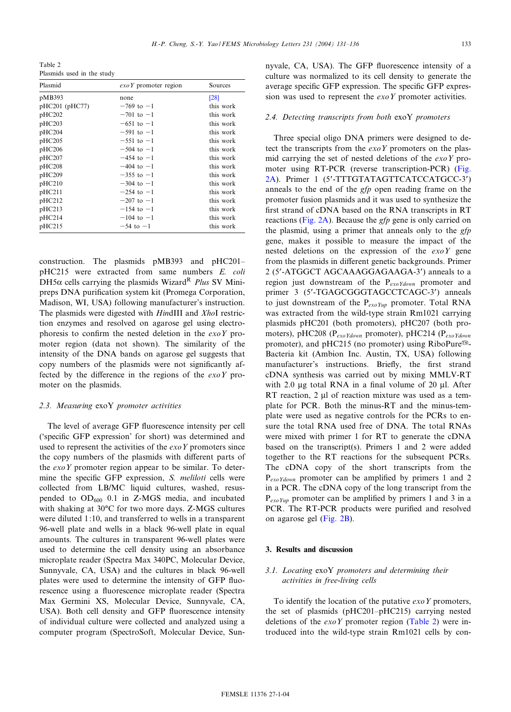<span id="page-2-0"></span>Table 2 Plasmids used in the study

| Plasmid             | $\exp Y$ promoter region | Sources   |
|---------------------|--------------------------|-----------|
| pMB393              | none                     | [28]      |
| pHC201 (pHC77)      | $-769$ to $-1$           | this work |
| pHC202              | $-701$ to $-1$           | this work |
| pHC203              | $-651$ to $-1$           | this work |
| pHC204              | $-591$ to $-1$           | this work |
| pHC205              | $-551$ to $-1$           | this work |
| pHC206              | $-504$ to $-1$           | this work |
| pHC207              | $-454$ to $-1$           | this work |
| pH <sub>C</sub> 208 | $-404$ to $-1$           | this work |
| pHC209              | $-355$ to $-1$           | this work |
| pHC210              | $-304$ to $-1$           | this work |
| pHCl1               | $-254$ to $-1$           | this work |
| pHCl <sub>2</sub>   | $-207$ to $-1$           | this work |
| pHC213              | $-154$ to $-1$           | this work |
| pHCl14              | $-104$ to $-1$           | this work |
| pHC215              | $-54$ to $-1$            | this work |

construction. The plasmids pMB393 and pHC201^ pHC215 were extracted from same numbers E. coli DH5 $\alpha$  cells carrying the plasmids Wizard<sup>R</sup> Plus SV Minipreps DNA purification system kit (Promega Corporation, Madison, WI, USA) following manufacturer's instruction. The plasmids were digested with HindIII and XhoI restriction enzymes and resolved on agarose gel using electrophoresis to confirm the nested deletion in the  $e\alpha Y$  promoter region (data not shown). The similarity of the intensity of the DNA bands on agarose gel suggests that copy numbers of the plasmids were not significantly affected by the difference in the regions of the  $exoY$  promoter on the plasmids.

## 2.3. Measuring exoY promoter activities

The level of average GFP fluorescence intensity per cell ('specific GFP expression' for short) was determined and used to represent the activities of the  $exoY$  promoters since the copy numbers of the plasmids with different parts of the  $exoY$  promoter region appear to be similar. To determine the specific GFP expression, S. meliloti cells were collected from LB/MC liquid cultures, washed, resuspended to  $OD_{600}$  0.1 in Z-MGS media, and incubated with shaking at 30°C for two more days. Z-MGS cultures were diluted 1:10, and transferred to wells in a transparent 96-well plate and wells in a black 96-well plate in equal amounts. The cultures in transparent 96-well plates were used to determine the cell density using an absorbance microplate reader (Spectra Max 340PC, Molecular Device, Sunnyvale, CA, USA) and the cultures in black 96-well plates were used to determine the intensity of GFP fluorescence using a fluorescence microplate reader (Spectra Max Germini XS, Molecular Device, Sunnyvale, CA, USA). Both cell density and GFP fluorescence intensity of individual culture were collected and analyzed using a computer program (SpectroSoft, Molecular Device, Sunnyvale, CA, USA). The GFP fluorescence intensity of a culture was normalized to its cell density to generate the average specific GFP expression. The specific GFP expression was used to represent the *exoY* promoter activities.

#### 2.4. Detecting transcripts from both exoY promoters

Three special oligo DNA primers were designed to detect the transcripts from the  $exoY$  promoters on the plasmid carrying the set of nested deletions of the  $e^{x}$  [pro](#page-4-0)[mo](#page-4-0)ter using RT-PCR (reverse transcription-PCR) (Fig. 2A). Primer 1 (5'-TTTGTATAGTTCATCCATGCC-3') anneals to the end of the gfp open reading frame on the promoter fusion plasmids and it was used to synthesize the first stran[d of cDN](#page-4-0)A based on the RNA transcripts in RT reactions (Fig. 2A). Because the *gfp* gene is only carried on the plasmid, using a primer that anneals only to the gfp gene, makes it possible to measure the impact of the nested deletions on the expression of the  $e^{x}$  gene from the plasmids in different genetic backgrounds. Primer 2 (5'-ATGGCT AGCAAAGGAGAAGA-3') anneals to a region just downstream of the  $P_{exo\,Ydown}$  promoter and primer 3 (5'-TGAGCGGGTAGCCTCAGC-3') anneals to just downstream of the  $P_{exoYup}$  promoter. Total RNA was extracted from the wild-type strain Rm1021 carrying plasmids pHC201 (both promoters), pHC207 (both promoters), pHC208 ( $P_{exo\,Ydown}$  promoter), pHC214 ( $P_{exo\,Ydown}$ promoter), and pHC215 (no promoter) using RiboPure<sup>®</sup>-Bacteria kit (Ambion Inc. Austin, TX, USA) following manufacturer's instructions. Briefly, the first strand cDNA synthesis was carried out by mixing MMLV-RT with 2.0  $\mu$ g total RNA in a final volume of 20  $\mu$ l. After RT reaction,  $2 \mu l$  of reaction mixture was used as a template for PCR. Both the minus-RT and the minus-template were used as negative controls for the PCRs to ensure the total RNA used free of DNA. The total RNAs were mixed with primer 1 for RT to generate the cDNA based on the transcript(s). Primers 1 and 2 were added together to the RT reactions for the subsequent PCRs. The cDNA copy of the short transcripts from the  $P_{exoYdown}$  promoter can be amplified by primers 1 and 2 in a PCR. The cDNA copy of the long transcript from the  $P_{exoYup}$  promoter can be amplified by primers 1 and 3 in a PCR. The RT-[PCR pro](#page-4-0)ducts were purified and resolved on agarose gel (Fig. 2B).

# 3. Results and discussion

## 3.1. Locating exoY promoters and determining their activities in free-living cells

To identify the location of the putative  $exoY$  promoters, the set of plasmids (pHC201^pHC215) carrying nested deletions of the  $exoY$  promoter region (Table 2) were introduced into the wild-type strain Rm1021 cells by con-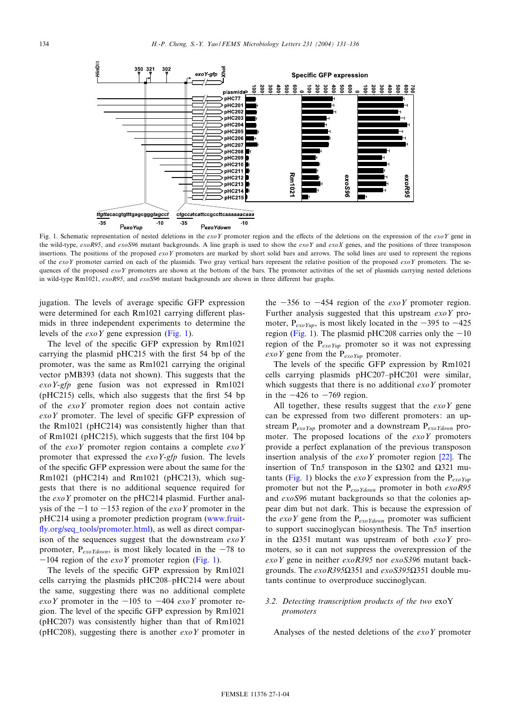<span id="page-3-0"></span>

Fig. 1. Schematic representation of nested deletions in the  $exoY$  promoter region and the effects of the deletions on the expression of the  $exoY$  gene in the wild-type, exoR95, and exoS96 mutant backgrounds. A line graph is used to show the exoY and exoX genes, and the positions of three transposon insertions. The positions of the proposed exoY promoters are marked by short solid bars and arrows. The solid lines are used to represent the regions of the  $exoY$  promoter carried on each of the plasmids. Two gray vertical bars represent the relative position of the proposed  $exoY$  promoters. The sequences of the proposed  $exoY$  promoters are shown at the bottom of the bars. The promoter activities of the set of plasmids carrying nested deletions in wild-type Rm1021,  $exoR95$ , and  $exoS96$  mutant backgrounds are shown in three different bar graphs.

jugation. The levels of average specific GFP expression were determined for each Rm1021 carrying different plasmids in three independent experiments to determine the levels of the  $exoY$  gene expression (Fig. 1).

The level of the specific GFP expression by Rm1021 carrying the plasmid  $pHC215$  with the first 54 bp of the promoter, was the same as Rm1021 carrying the original vector pMB393 (data not shown). This suggests that the exoY-gfp gene fusion was not expressed in Rm1021  $(pHC215)$  cells, which also suggests that the first 54 bp of the exoY promoter region does not contain active  $exoY$  promoter. The level of specific GFP expression of the Rm1021 (pHC214) was consistently higher than that of Rm1021 (pHC215), which suggests that the first 104 bp of the  $exoY$  promoter region contains a complete  $exoY$ promoter that expressed the  $exoY\text{-}gfp$  fusion. The levels of the specific GFP expression were about the same for the Rm1021 (pHC214) and Rm1021 (pHC213), which suggests that there is no additional sequence required for the  $exoY$  promoter on the pHC214 plasmid. Further analysis of the  $-1$  to  $-153$  region of the *exoY* pro[moter in the](www.fruitfly.org/seq_tools/promoter.html) [pHC214 using a promoter predi](www.fruitfly.org/seq_tools/promoter.html)ction program (www.fruit fly.org/seq\_tools/promoter.html), as well as direct comparison of the sequences suggest that the downstream  $e x o Y$ promoter,  $P_{exoYdown}$ , is most likely located in the  $-78$  to  $-104$  region of the *exoY* promoter region (Fig. 1).

The levels of the specific GFP expression by Rm1021 cells carrying the plasmids pHC208^pHC214 were about the same, suggesting there was no additional complete exoY promoter in the  $-105$  to  $-404$  exoY promoter region. The level of the specific GFP expression by Rm1021 (pHC207) was consistently higher than that of Rm1021 (pHC208), suggesting there is another  $exoY$  promoter in the  $-356$  to  $-454$  region of the *exoY* promoter region. Further analysis suggested that this upstream  $exoY$  promoter,  $P_{exoYup}$ , is most likely located in the -395 to -425 region (Fig. 1). The plasmid pHC208 carries only the  $-10$ region of the  $P_{exoYup}$  promoter so it was not expressing exo Y gene from the  $P_{exo\,Yup}$  promoter.

The levels of the specific GFP expression by Rm1021 cells carrying plasmids pHC207^pHC201 were similar, which suggests that there is no additional  $exoY$  promoter in the  $-426$  to  $-769$  region.

All together, these results suggest that the  $exoY$  gene can be expressed from two different promoters: an upstream  $P_{exo\,Yup}$  promoter and a downstream  $P_{exo\,Ydown}$  promoter. The proposed locations of the  $exoY$  promoters provide a perfect explanation of the previous tr[ansp](#page-5-0)oson insertion analysis of the  $exoY$  promoter region  $[22]$ . The insertion of Tn5 transposon in the  $\Omega$ 302 and  $\Omega$ 321 mutants (Fig. 1) blocks the *exoY* expression from the  $P_{exoYuv}$ promoter but not the P<sub>exoYdown</sub> promoter in both exoR95 and exoS96 mutant backgrounds so that the colonies appear dim but not dark. This is because the expression of the  $exoY$  gene from the  $P_{exoYdown}$  promoter was sufficient to support succinoglycan biosynthesis. The Tn5 insertion in the  $\Omega$ 351 mutant was upstream of both exoY promoters, so it can not suppress the overexpression of the exoY gene in neither exoR395 nor exoS396 mutant backgrounds. The  $exoR395\Omega351$  and  $exoS395\Omega351$  double mutants continue to overproduce succinoglycan.

# 3.2. Detecting transcription products of the two exoY promoters

Analyses of the nested deletions of the  $exoY$  promoter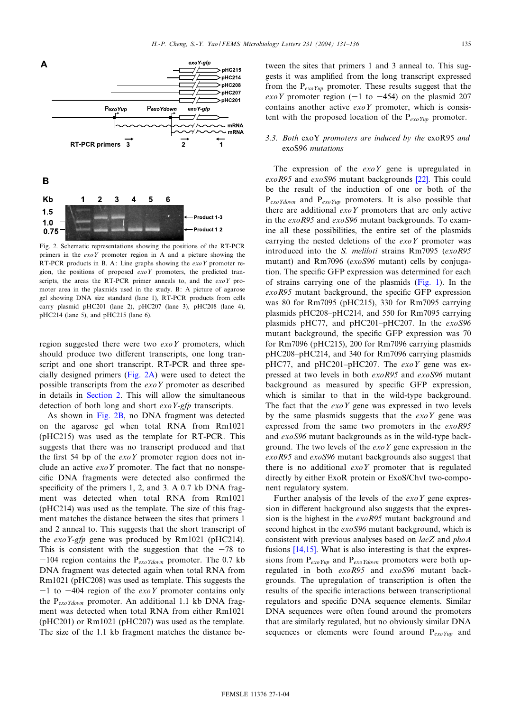<span id="page-4-0"></span>

Fig. 2. Schematic representations showing the positions of the RT-PCR primers in the  $e x o Y$  promoter region in A and a picture showing the RT-PCR products in B. A: Line graphs showing the  $exoY$  promoter region, the positions of proposed  $exoY$  promoters, the predicted transcripts, the areas the RT-PCR primer anneals to, and the  $e x o Y$  promoter area in the plasmids used in the study. B: A picture of agarose gel showing DNA size standard (lane 1), RT-PCR products from cells carry plasmid pHC201 (lane 2), pHC207 (lane 3), pHC208 (lane 4), pHC214 (lane 5), and pHC215 (lane 6).

region suggested there were two  $e^{x}$  promoters, which should produce two different transcripts, one long transcript and one short transcript. RT-PCR and three specially designed primers (Fig. 2A) were used to detect the possible tran[scripts fro](#page-1-0)m the  $exoY$  promoter as described in details in Section 2. This will allow the simultaneous detection of both long and short *exoY-gfp* transcripts.

As shown in Fig. 2B, no DNA fragment was detected on the agarose gel when total RNA from Rm1021 (pHC215) was used as the template for RT-PCR. This suggests that there was no transcript produced and that the first 54 bp of the  $exoY$  promoter region does not include an active  $e \times oY$  promoter. The fact that no nonspecific DNA fragments were detected also confirmed the specificity of the primers 1, 2, and 3. A  $0.7$  kb DNA fragment was detected when total RNA from Rm1021 (pHC214) was used as the template. The size of this fragment matches the distance between the sites that primers 1 and 2 anneal to. This suggests that the short transcript of the *exoY-gfp* gene was produced by Rm1021 (pHC214). This is consistent with the suggestion that the  $-78$  to  $-104$  region contains the P<sub>exoYdown</sub> promoter. The 0.7 kb DNA fragment was detected again when total RNA from Rm1021 (pHC208) was used as template. This suggests the  $-1$  to  $-404$  region of the *exoY* promoter contains only the  $P_{exoYdown}$  promoter. An additional 1.1 kb DNA fragment was detected when total RNA from either Rm1021 (pHC201) or Rm1021 (pHC207) was used as the template. The size of the 1.1 kb fragment matches the distance between the sites that primers 1 and 3 anneal to. This suggests it was amplified from the long transcript expressed from the  $P_{exoYup}$  promoter. These results suggest that the exoY promoter region  $(-1 \text{ to } -454)$  on the plasmid 207 contains another active  $e \times oY$  promoter, which is consistent with the proposed location of the  $P_{exoYup}$  promoter.

# 3.3. Both exoY promoters are induced by the exoR95 and exoS96 mutations

The expression of the  $exoY$  gene is [upr](#page-5-0)egulated in exoR95 and exoS96 mutant backgrounds [22]. This could be the result of the induction of one or both of the  $P_{exoYdown}$  and  $P_{exoYup}$  promoters. It is also possible that there are additional  $e \times oY$  promoters that are only active in the exoR95 and exoS96 mutant backgrounds. To examine all these possibilities, the entire set of the plasmids carrying the nested deletions of the  $exoY$  promoter was introduced into the S. meliloti strains Rm7095 (exoR95 mutant) and Rm7096 (exoS96 mutant) cells by conjugation. The specific GFP expression was dete[rmined](#page-3-0) for each of strains carrying one of the plasmids (Fig. 1). In the  $exoR95$  mutant background, the specific GFP expression was 80 for Rm7095 (pHC215), 330 for Rm7095 carrying plasmids pHC208-pHC214, and 550 for Rm7095 carrying plasmids pHC77, and pHC201-pHC207. In the exoS96 mutant background, the specific GFP expression was 70 for Rm7096 (pHC215), 200 for Rm7096 carrying plasmids pHC208-pHC214, and 340 for Rm7096 carrying plasmids pHC77, and pHC201-pHC207. The  $exoY$  gene was expressed at two levels in both exoR95 and exoS96 mutant background as measured by specific GFP expression, which is similar to that in the wild-type background. The fact that the  $exoY$  gene was expressed in two levels by the same plasmids suggests that the  $e x o Y$  gene was expressed from the same two promoters in the exoR95 and exoS96 mutant backgrounds as in the wild-type background. The two levels of the  $e \times oY$  gene expression in the exoR95 and exoS96 mutant backgrounds also suggest that there is no additional  $\exp Y$  promoter that is regulated directly by either ExoR protein or ExoS/ChvI two-component regulatory system.

Further analysis of the levels of the  $exoY$  gene expression in different background also suggests that the expression is the highest in the exoR95 mutant background and second highest in the *exoS96* mutant background, which is consiste[nt with](#page-5-0) previous analyses based on lacZ and phoA fusions [14,15]. What is also interesting is that the expressions from  $P_{exoYup}$  and  $P_{exoYdown}$  promoters were both upregulated in both exoR95 and exoS96 mutant backgrounds. The upregulation of transcription is often the results of the specific interactions between transcriptional regulators and specific DNA sequence elements. Similar DNA sequences were often found around the promoters that are similarly regulated, but no obviously similar DNA sequences or elements were found around  $P_{exoYup}$  and